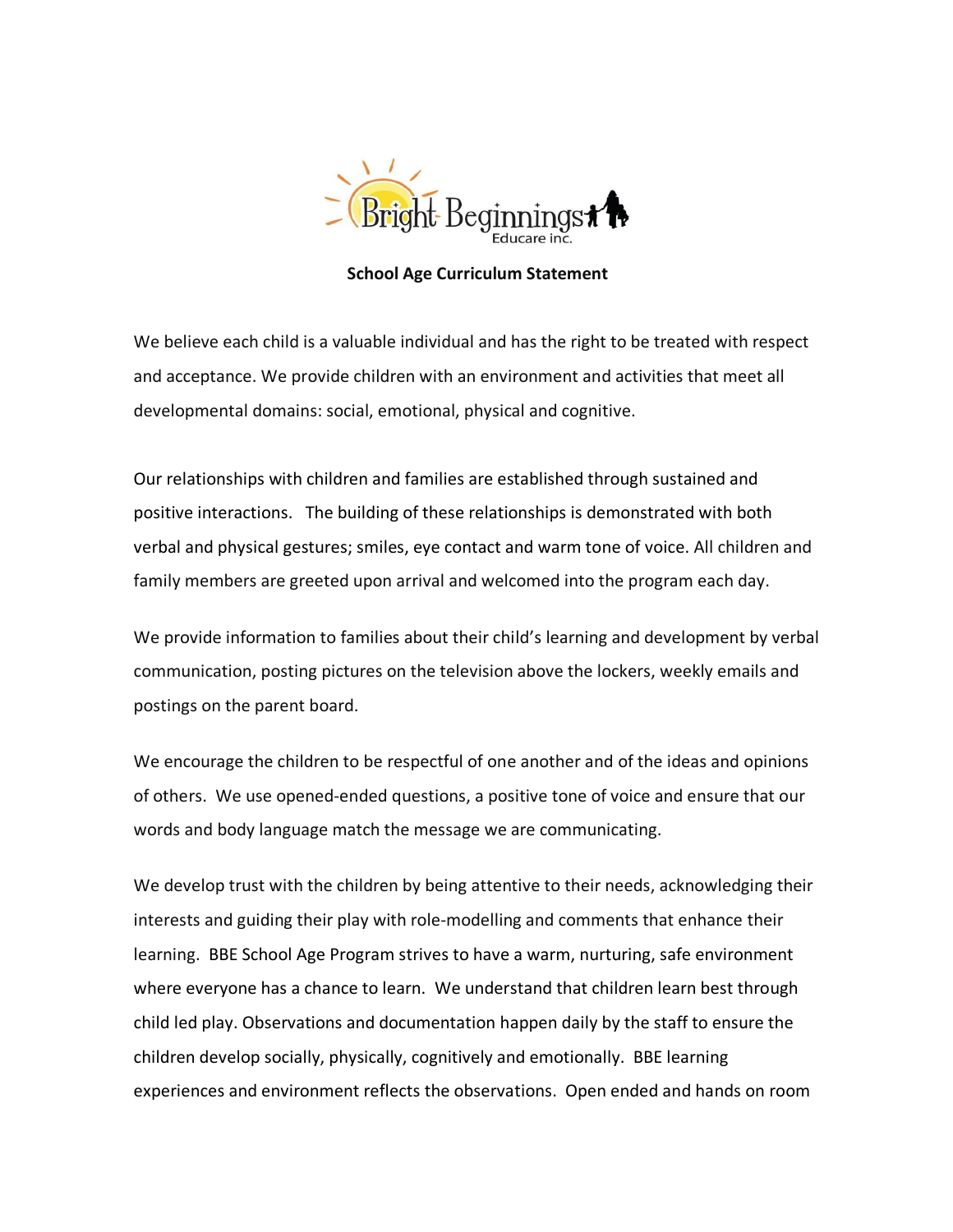

**School Age Curriculum Statement**

We believe each child is a valuable individual and has the right to be treated with respect and acceptance. We provide children with an environment and activities that meet all developmental domains: social, emotional, physical and cognitive.

Our relationships with children and families are established through sustained and positive interactions. The building of these relationships is demonstrated with both verbal and physical gestures; smiles, eye contact and warm tone of voice. All children and family members are greeted upon arrival and welcomed into the program each day.

We provide information to families about their child's learning and development by verbal communication, posting pictures on the television above the lockers, weekly emails and postings on the parent board.

We encourage the children to be respectful of one another and of the ideas and opinions of others. We use opened-ended questions, a positive tone of voice and ensure that our words and body language match the message we are communicating.

We develop trust with the children by being attentive to their needs, acknowledging their interests and guiding their play with role-modelling and comments that enhance their learning. BBE School Age Program strives to have a warm, nurturing, safe environment where everyone has a chance to learn. We understand that children learn best through child led play. Observations and documentation happen daily by the staff to ensure the children develop socially, physically, cognitively and emotionally. BBE learning experiences and environment reflects the observations. Open ended and hands on room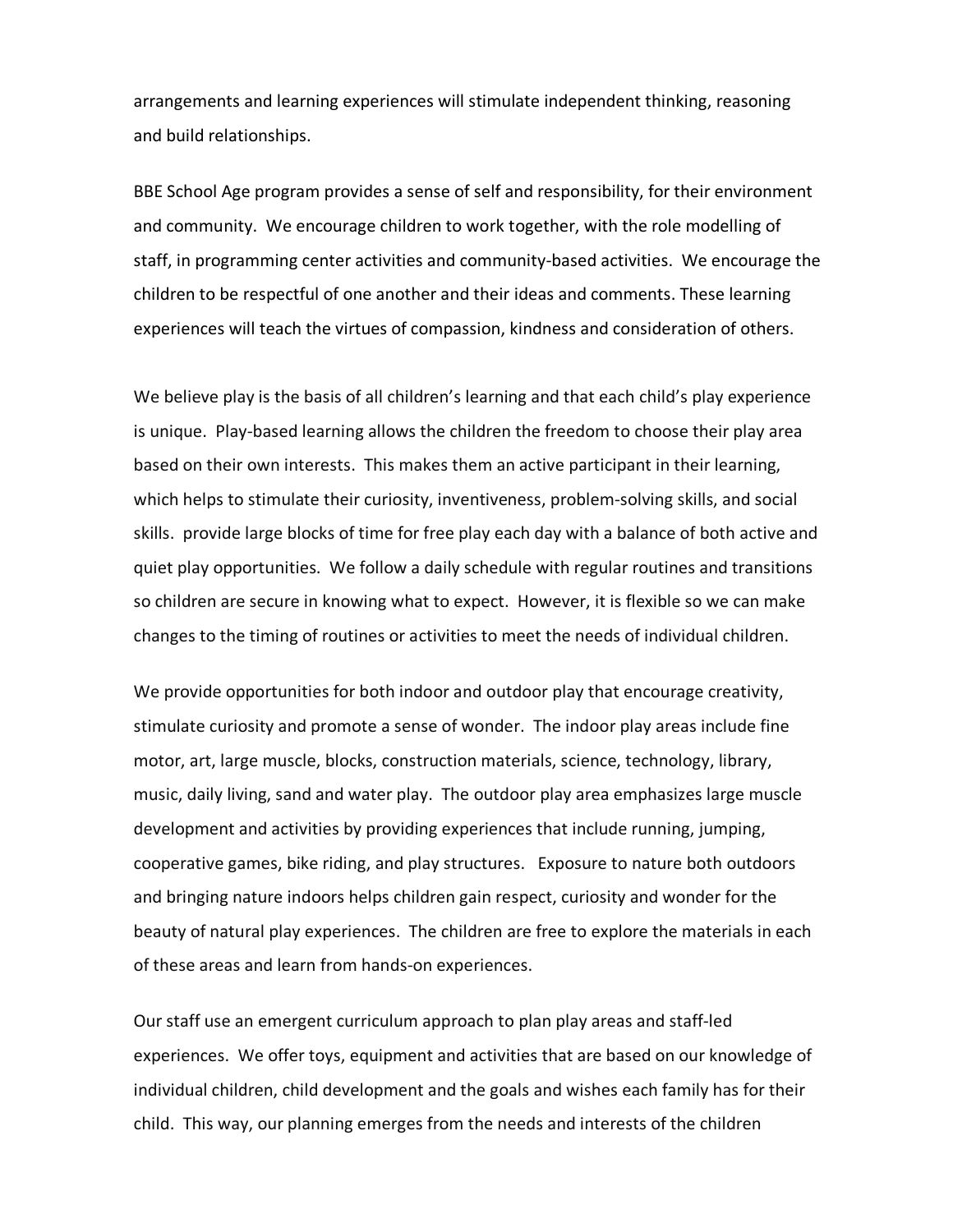arrangements and learning experiences will stimulate independent thinking, reasoning and build relationships.

BBE School Age program provides a sense of self and responsibility, for their environment and community. We encourage children to work together, with the role modelling of staff, in programming center activities and community-based activities. We encourage the children to be respectful of one another and their ideas and comments. These learning experiences will teach the virtues of compassion, kindness and consideration of others.

We believe play is the basis of all children's learning and that each child's play experience is unique. Play-based learning allows the children the freedom to choose their play area based on their own interests. This makes them an active participant in their learning, which helps to stimulate their curiosity, inventiveness, problem-solving skills, and social skills. provide large blocks of time for free play each day with a balance of both active and quiet play opportunities. We follow a daily schedule with regular routines and transitions so children are secure in knowing what to expect. However, it is flexible so we can make changes to the timing of routines or activities to meet the needs of individual children.

We provide opportunities for both indoor and outdoor play that encourage creativity, stimulate curiosity and promote a sense of wonder. The indoor play areas include fine motor, art, large muscle, blocks, construction materials, science, technology, library, music, daily living, sand and water play. The outdoor play area emphasizes large muscle development and activities by providing experiences that include running, jumping, cooperative games, bike riding, and play structures. Exposure to nature both outdoors and bringing nature indoors helps children gain respect, curiosity and wonder for the beauty of natural play experiences. The children are free to explore the materials in each of these areas and learn from hands-on experiences.

Our staff use an emergent curriculum approach to plan play areas and staff-led experiences. We offer toys, equipment and activities that are based on our knowledge of individual children, child development and the goals and wishes each family has for their child. This way, our planning emerges from the needs and interests of the children